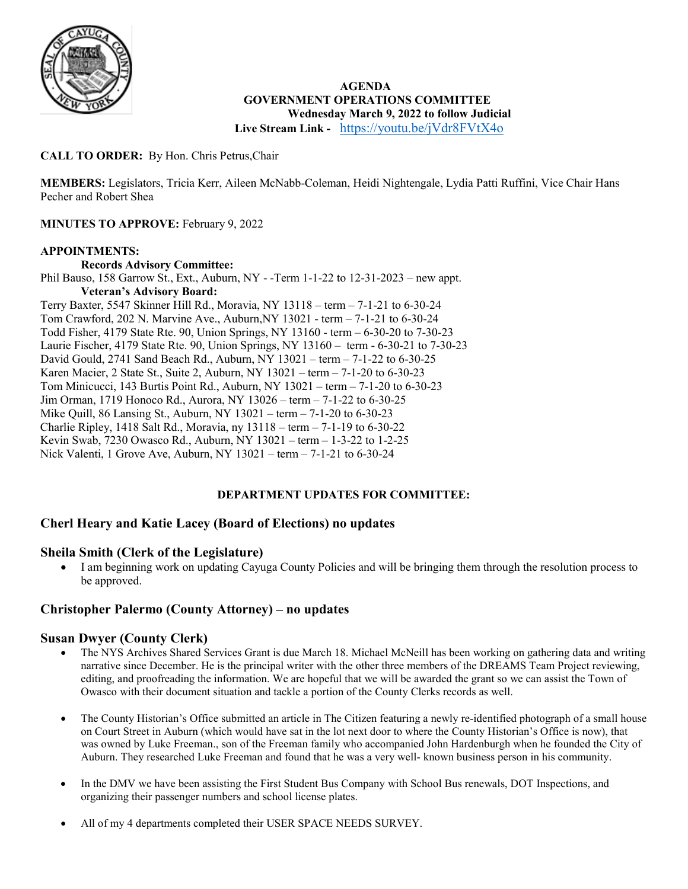

# **AGENDA GOVERNMENT OPERATIONS COMMITTEE Wednesday March 9, 2022 to follow Judicial**

**Live Stream Link -** <https://youtu.be/jVdr8FVtX4o>

# **CALL TO ORDER:** By Hon. Chris Petrus,Chair

**MEMBERS:** Legislators, Tricia Kerr, Aileen McNabb-Coleman, Heidi Nightengale, Lydia Patti Ruffini, Vice Chair Hans Pecher and Robert Shea

**MINUTES TO APPROVE:** February 9, 2022

# **APPOINTMENTS:**

**Records Advisory Committee:** Phil Bauso, 158 Garrow St., Ext., Auburn, NY - -Term 1-1-22 to 12-31-2023 – new appt. **Veteran's Advisory Board:** Terry Baxter, 5547 Skinner Hill Rd., Moravia, NY 13118 – term – 7-1-21 to 6-30-24 Tom Crawford, 202 N. Marvine Ave., Auburn,NY 13021 - term – 7-1-21 to 6-30-24 Todd Fisher, 4179 State Rte. 90, Union Springs, NY 13160 - term – 6-30-20 to 7-30-23 Laurie Fischer, 4179 State Rte. 90, Union Springs, NY 13160 – term - 6-30-21 to 7-30-23 David Gould, 2741 Sand Beach Rd., Auburn, NY 13021 – term – 7-1-22 to 6-30-25 Karen Macier, 2 State St., Suite 2, Auburn, NY 13021 – term – 7-1-20 to 6-30-23 Tom Minicucci, 143 Burtis Point Rd., Auburn, NY 13021 – term – 7-1-20 to 6-30-23 Jim Orman, 1719 Honoco Rd., Aurora, NY 13026 – term – 7-1-22 to 6-30-25 Mike Quill, 86 Lansing St., Auburn, NY 13021 – term – 7-1-20 to 6-30-23 Charlie Ripley, 1418 Salt Rd., Moravia, ny 13118 – term – 7-1-19 to 6-30-22 Kevin Swab, 7230 Owasco Rd., Auburn, NY 13021 – term – 1-3-22 to 1-2-25 Nick Valenti, 1 Grove Ave, Auburn, NY 13021 – term – 7-1-21 to 6-30-24

# **DEPARTMENT UPDATES FOR COMMITTEE:**

# **Cherl Heary and Katie Lacey (Board of Elections) no updates**

# **Sheila Smith (Clerk of the Legislature)**

• I am beginning work on updating Cayuga County Policies and will be bringing them through the resolution process to be approved.

# **Christopher Palermo (County Attorney) – no updates**

# **Susan Dwyer (County Clerk)**

- The NYS Archives Shared Services Grant is due March 18. Michael McNeill has been working on gathering data and writing narrative since December. He is the principal writer with the other three members of the DREAMS Team Project reviewing, editing, and proofreading the information. We are hopeful that we will be awarded the grant so we can assist the Town of Owasco with their document situation and tackle a portion of the County Clerks records as well.
- The County Historian's Office submitted an article in The Citizen featuring a newly re-identified photograph of a small house on Court Street in Auburn (which would have sat in the lot next door to where the County Historian's Office is now), that was owned by Luke Freeman., son of the Freeman family who accompanied John Hardenburgh when he founded the City of Auburn. They researched Luke Freeman and found that he was a very well- known business person in his community.
- In the DMV we have been assisting the First Student Bus Company with School Bus renewals, DOT Inspections, and organizing their passenger numbers and school license plates.
- All of my 4 departments completed their USER SPACE NEEDS SURVEY.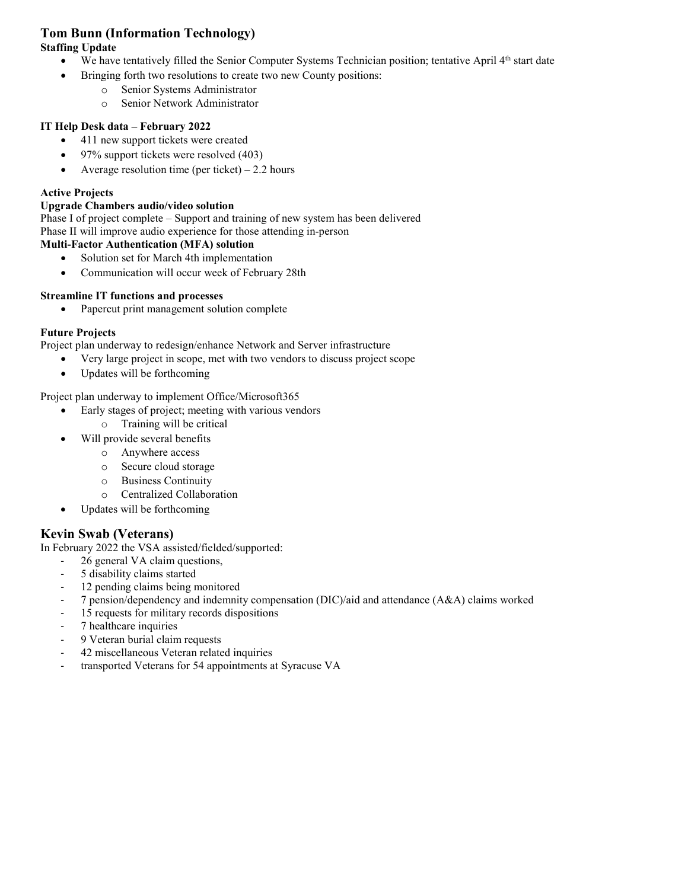# **Tom Bunn (Information Technology)**

# **Staffing Update**

- We have tentatively filled the Senior Computer Systems Technician position; tentative April 4<sup>th</sup> start date
- Bringing forth two resolutions to create two new County positions:
	- o Senior Systems Administrator
	- o Senior Network Administrator

# **IT Help Desk data – February 2022**

- 411 new support tickets were created
- 97% support tickets were resolved (403)
- Average resolution time (per ticket)  $-2.2$  hours

# **Active Projects**

## **Upgrade Chambers audio/video solution**

Phase I of project complete – Support and training of new system has been delivered Phase II will improve audio experience for those attending in-person

# **Multi-Factor Authentication (MFA) solution**

- Solution set for March 4th implementation
- Communication will occur week of February 28th

# **Streamline IT functions and processes**

Papercut print management solution complete

# **Future Projects**

Project plan underway to redesign/enhance Network and Server infrastructure

- Very large project in scope, met with two vendors to discuss project scope
- Updates will be forthcoming

Project plan underway to implement Office/Microsoft365

- Early stages of project; meeting with various vendors
	- o Training will be critical
- Will provide several benefits
	- o Anywhere access
	- o Secure cloud storage
	- o Business Continuity
	- o Centralized Collaboration
- Updates will be forthcoming

# **Kevin Swab (Veterans)**

In February 2022 the VSA assisted/fielded/supported:

- 26 general VA claim questions,
- 5 disability claims started
- 12 pending claims being monitored
- $\frac{7 \text{ pension/h}$  dependency and indemnity compensation (DIC)/aid and attendance (A&A) claims worked
- 15 requests for military records dispositions
- 7 healthcare inquiries
- 9 Veteran burial claim requests
- 42 miscellaneous Veteran related inquiries
- transported Veterans for 54 appointments at Syracuse VA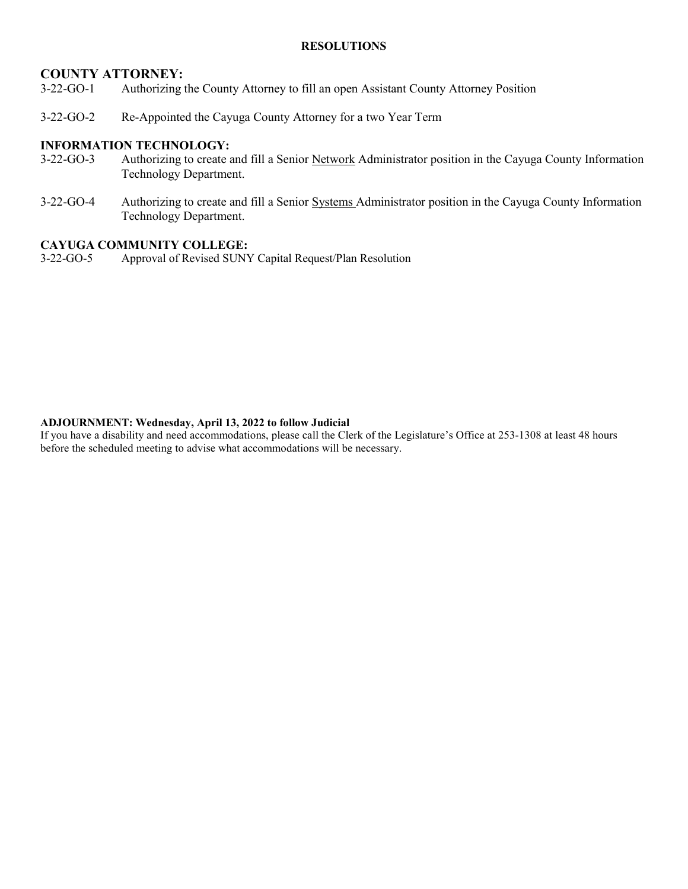# **RESOLUTIONS**

# **COUNTY ATTORNEY:**

- 3-22-GO-1 Authorizing the County Attorney to fill an open Assistant County Attorney Position
- 3-22-GO-2 Re-Appointed the Cayuga County Attorney for a two Year Term

# **INFORMATION TECHNOLOGY:**

- 3-22-GO-3 Authorizing to create and fill a Senior Network Administrator position in the Cayuga County Information Technology Department.
- 3-22-GO-4 Authorizing to create and fill a Senior Systems Administrator position in the Cayuga County Information Technology Department.

# **CAYUGA COMMUNITY COLLEGE:**<br>3-22-GO-5 Approval of Revised SUNY

Approval of Revised SUNY Capital Request/Plan Resolution

## **ADJOURNMENT: Wednesday, April 13, 2022 to follow Judicial**

If you have a disability and need accommodations, please call the Clerk of the Legislature's Office at 253-1308 at least 48 hours before the scheduled meeting to advise what accommodations will be necessary.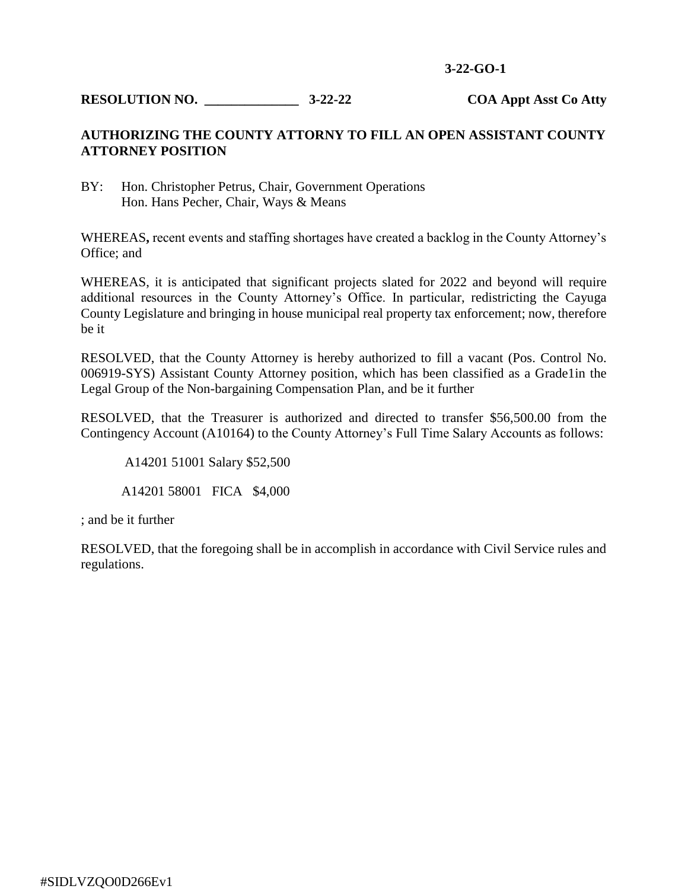# **3-22-GO-1**

# **RESOLUTION NO. \_\_\_\_\_\_\_\_\_\_\_\_\_\_ 3-22-22 COA Appt Asst Co Atty**

# **AUTHORIZING THE COUNTY ATTORNY TO FILL AN OPEN ASSISTANT COUNTY ATTORNEY POSITION**

BY: Hon. Christopher Petrus, Chair, Government Operations Hon. Hans Pecher, Chair, Ways & Means

WHEREAS**,** recent events and staffing shortages have created a backlog in the County Attorney's Office; and

WHEREAS, it is anticipated that significant projects slated for 2022 and beyond will require additional resources in the County Attorney's Office. In particular, redistricting the Cayuga County Legislature and bringing in house municipal real property tax enforcement; now, therefore be it

RESOLVED, that the County Attorney is hereby authorized to fill a vacant (Pos. Control No. 006919-SYS) Assistant County Attorney position, which has been classified as a Grade1in the Legal Group of the Non-bargaining Compensation Plan, and be it further

RESOLVED, that the Treasurer is authorized and directed to transfer \$56,500.00 from the Contingency Account (A10164) to the County Attorney's Full Time Salary Accounts as follows:

A14201 51001 Salary \$52,500

A14201 58001 FICA \$4,000

; and be it further

RESOLVED, that the foregoing shall be in accomplish in accordance with Civil Service rules and regulations.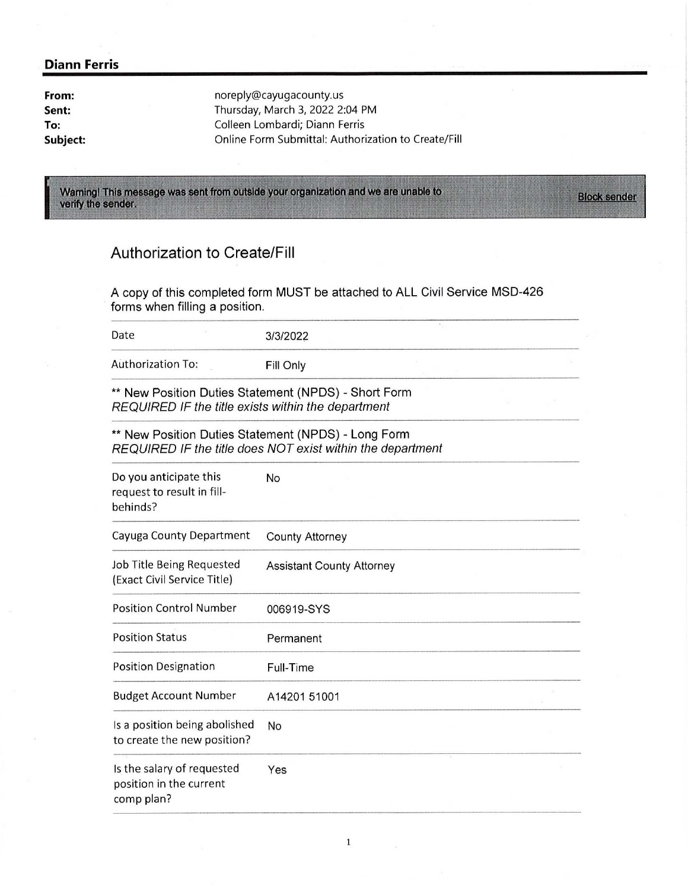# Maria Barat (1989)<br>Maria Britannia<br>Maria Britannia (1989) Diann Ferris

| From:    |  |
|----------|--|
| Sent:    |  |
| To:      |  |
| Subject: |  |

# Authorization to Create/Fill

| <b>Diann Ferris</b><br>From:<br>Sent:<br>To:<br>Subject: |                                                                     | noreply@cayugacounty.us<br>Thursday, March 3, 2022 2:04 PM<br>Colleen Lombardi; Diann Ferris<br>Online Form Submittal: Authorization to Create/Fill |
|----------------------------------------------------------|---------------------------------------------------------------------|-----------------------------------------------------------------------------------------------------------------------------------------------------|
| verify the sender.                                       |                                                                     | Warning! This message was sent from outside your organization and we are unable to                                                                  |
|                                                          | <b>Authorization to Create/Fill</b>                                 |                                                                                                                                                     |
|                                                          | forms when filling a position.                                      | A copy of this completed form MUST be attached to ALL Civil Service MSD-426                                                                         |
|                                                          | Date                                                                | 3/3/2022                                                                                                                                            |
|                                                          | Authorization To:                                                   | Fill Only                                                                                                                                           |
|                                                          | REQUIRED IF the title exists within the department                  | ** New Position Duties Statement (NPDS) - Short Form                                                                                                |
|                                                          |                                                                     | ** New Position Duties Statement (NPDS) - Long Form<br>REQUIRED IF the title does NOT exist within the department                                   |
|                                                          | Do you anticipate this<br>request to result in fill-<br>behinds?    | No                                                                                                                                                  |
|                                                          | Cayuga County Department                                            | <b>County Attorney</b>                                                                                                                              |
|                                                          | Job Title Being Requested<br>(Exact Civil Service Title)            | <b>Assistant County Attorney</b>                                                                                                                    |
|                                                          | <b>Position Control Number</b>                                      | 006919-SYS                                                                                                                                          |
|                                                          | <b>Position Status</b>                                              | Permanent                                                                                                                                           |
|                                                          | <b>Position Designation</b>                                         | Full-Time                                                                                                                                           |
|                                                          | <b>Budget Account Number</b>                                        | A14201 51001                                                                                                                                        |
|                                                          | Is a position being abolished<br>to create the new position?        | No                                                                                                                                                  |
|                                                          | Is the salary of requested<br>position in the current<br>comp plan? | Yes                                                                                                                                                 |
|                                                          |                                                                     | $\mathbf{1}% _{T}\left( \mathbf{1}\right)$                                                                                                          |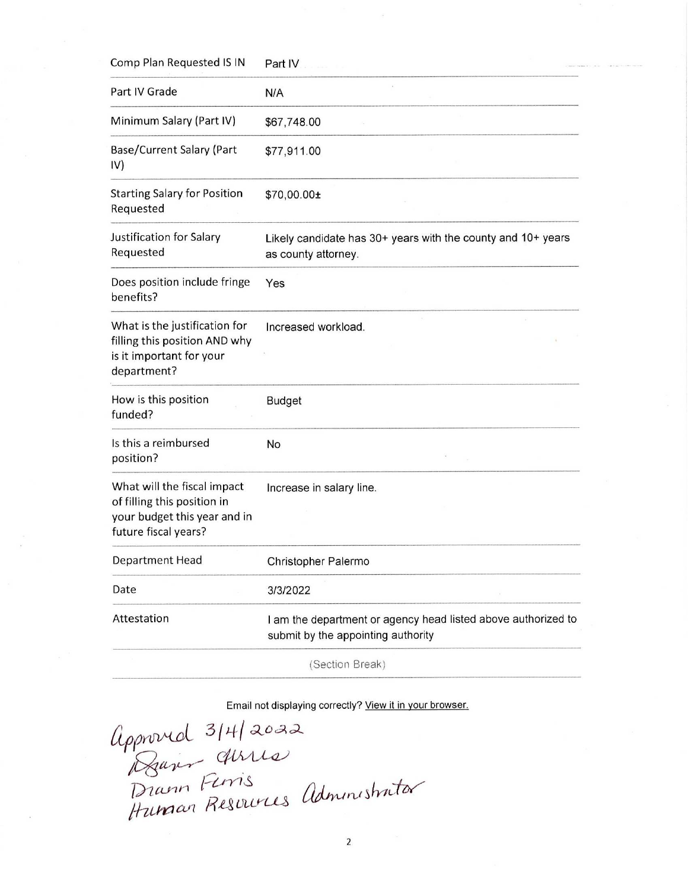| Comp Plan Requested IS IN                                                           | Part IV                                                                                             |
|-------------------------------------------------------------------------------------|-----------------------------------------------------------------------------------------------------|
| Part IV Grade                                                                       | N/A                                                                                                 |
| Minimum Salary (Part IV)                                                            | \$67,748.00                                                                                         |
| Base/Current Salary (Part<br>IV)                                                    | \$77,911.00                                                                                         |
| <b>Starting Salary for Position</b><br>Requested                                    | \$70,00.00±                                                                                         |
| Justification for Salary<br>Requested                                               | Likely candidate has 30+ years with the county and 10+ years<br>as county attorney.                 |
| Does position include fringe<br>benefits?                                           | Yes<br>ь                                                                                            |
| What is the justification for<br>filling this position AND why                      | Increased workload.                                                                                 |
| is it important for your<br>department?                                             |                                                                                                     |
| How is this position<br>funded?                                                     | <b>Budget</b>                                                                                       |
| Is this a reimbursed<br>position?                                                   | No                                                                                                  |
| What will the fiscal impact                                                         | Increase in salary line.                                                                            |
| of filling this position in<br>your budget this year and in<br>future fiscal years? |                                                                                                     |
| Department Head                                                                     | Christopher Palermo                                                                                 |
| Date<br>$\sim$                                                                      | 3/3/2022                                                                                            |
| Attestation                                                                         | I am the department or agency head listed above authorized to<br>submit by the appointing authority |

(Section Break)

Email not displaying correctly? View it in your browser.

 $A$ <sub>amryd</sub> 3/4/2022  $\rho$  direct  $Furis$   $\alpha$   $+$ Dravin Ferris<br>Human Rescriptes administrator

 $\overline{2}$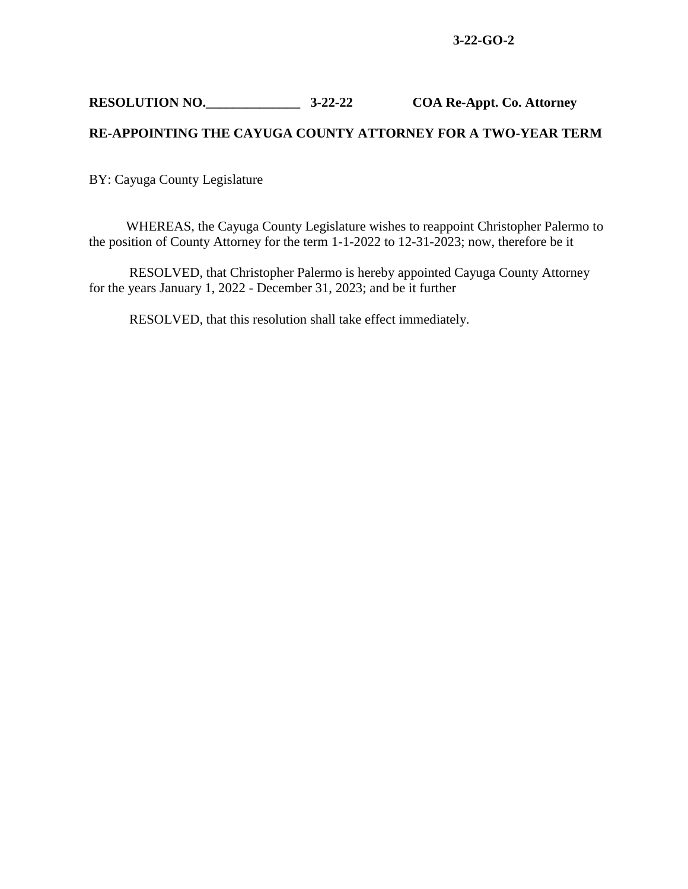# **3-22-GO-2**

# **RESOLUTION NO.\_\_\_\_\_\_\_\_\_\_\_\_\_\_ 3-22-22 COA Re-Appt. Co. Attorney**

# **RE-APPOINTING THE CAYUGA COUNTY ATTORNEY FOR A TWO-YEAR TERM**

BY: Cayuga County Legislature

 WHEREAS, the Cayuga County Legislature wishes to reappoint Christopher Palermo to the position of County Attorney for the term 1-1-2022 to 12-31-2023; now, therefore be it

RESOLVED, that Christopher Palermo is hereby appointed Cayuga County Attorney for the years January 1, 2022 - December 31, 2023; and be it further

RESOLVED, that this resolution shall take effect immediately.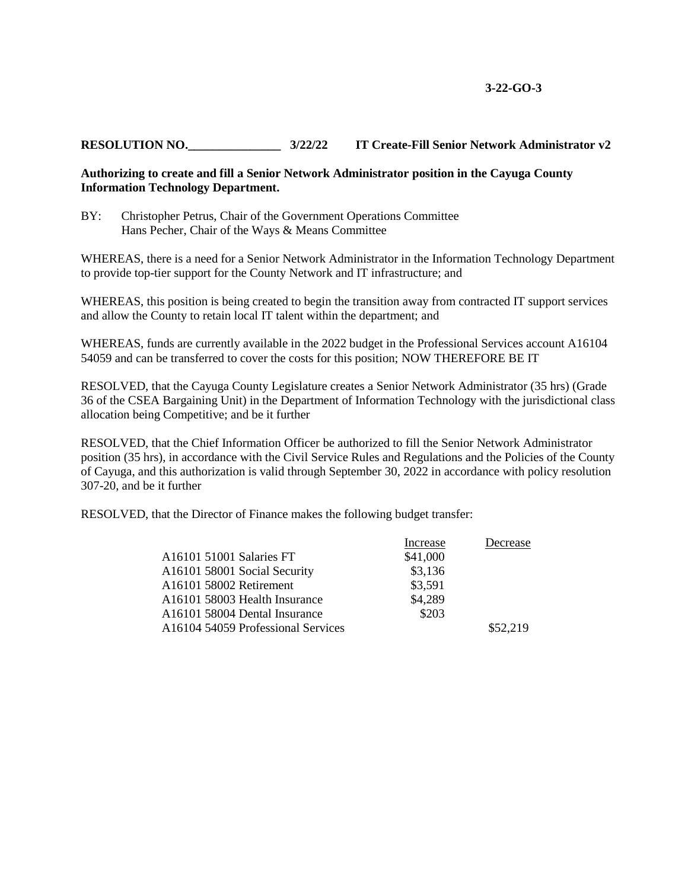# **RESOLUTION NO.\_\_\_\_\_\_\_\_\_\_\_\_\_\_\_ 3/22/22 IT Create-Fill Senior Network Administrator v2**

# **Authorizing to create and fill a Senior Network Administrator position in the Cayuga County Information Technology Department.**

BY: Christopher Petrus, Chair of the Government Operations Committee Hans Pecher, Chair of the Ways & Means Committee

WHEREAS, there is a need for a Senior Network Administrator in the Information Technology Department to provide top-tier support for the County Network and IT infrastructure; and

WHEREAS, this position is being created to begin the transition away from contracted IT support services and allow the County to retain local IT talent within the department; and

WHEREAS, funds are currently available in the 2022 budget in the Professional Services account A16104 54059 and can be transferred to cover the costs for this position; NOW THEREFORE BE IT

RESOLVED, that the Cayuga County Legislature creates a Senior Network Administrator (35 hrs) (Grade 36 of the CSEA Bargaining Unit) in the Department of Information Technology with the jurisdictional class allocation being Competitive; and be it further

RESOLVED, that the Chief Information Officer be authorized to fill the Senior Network Administrator position (35 hrs), in accordance with the Civil Service Rules and Regulations and the Policies of the County of Cayuga, and this authorization is valid through September 30, 2022 in accordance with policy resolution 307-20, and be it further

RESOLVED, that the Director of Finance makes the following budget transfer:

|                                    | Increase | Decrease |
|------------------------------------|----------|----------|
| A16101 51001 Salaries FT           | \$41,000 |          |
| A16101 58001 Social Security       | \$3,136  |          |
| A16101 58002 Retirement            | \$3,591  |          |
| A16101 58003 Health Insurance      | \$4,289  |          |
| A16101 58004 Dental Insurance      | \$203    |          |
| A16104 54059 Professional Services |          | \$52,219 |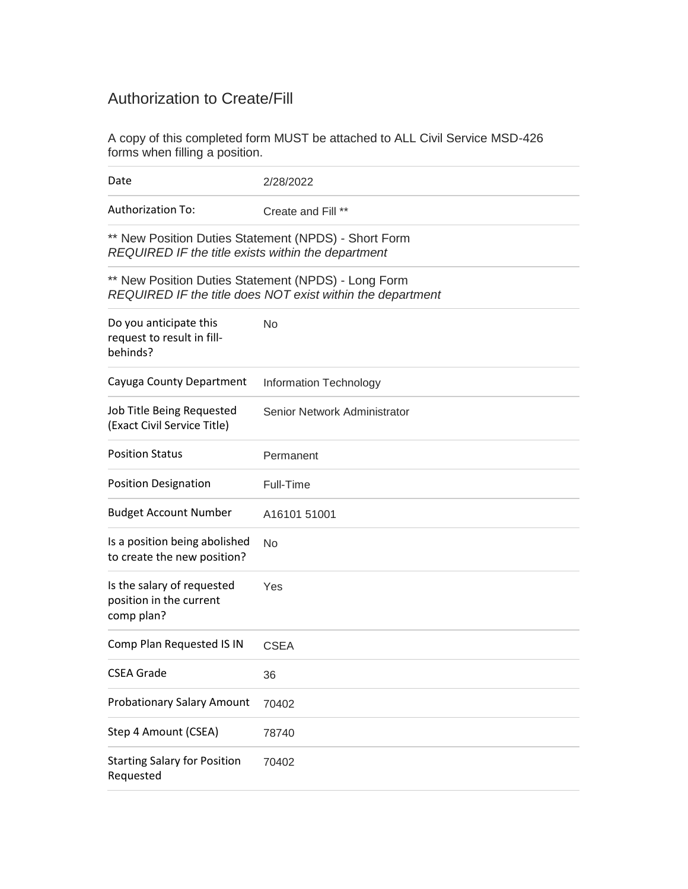# Authorization to Create/Fill

A copy of this completed form MUST be attached to ALL Civil Service MSD-426 forms when filling a position.

| Date                                                                                                              | 2/28/2022                    |  |
|-------------------------------------------------------------------------------------------------------------------|------------------------------|--|
| <b>Authorization To:</b>                                                                                          | Create and Fill **           |  |
| ** New Position Duties Statement (NPDS) - Short Form<br>REQUIRED IF the title exists within the department        |                              |  |
| ** New Position Duties Statement (NPDS) - Long Form<br>REQUIRED IF the title does NOT exist within the department |                              |  |
| Do you anticipate this<br>request to result in fill-<br>behinds?                                                  | No                           |  |
| Cayuga County Department                                                                                          | Information Technology       |  |
| Job Title Being Requested<br>(Exact Civil Service Title)                                                          | Senior Network Administrator |  |
| <b>Position Status</b>                                                                                            | Permanent                    |  |
| <b>Position Designation</b>                                                                                       | Full-Time                    |  |
| <b>Budget Account Number</b>                                                                                      | A16101 51001                 |  |
| Is a position being abolished<br>to create the new position?                                                      | No                           |  |
| Is the salary of requested<br>position in the current<br>comp plan?                                               | Yes                          |  |
| Comp Plan Requested IS IN                                                                                         | <b>CSEA</b>                  |  |
| <b>CSEA Grade</b>                                                                                                 | 36                           |  |
| <b>Probationary Salary Amount</b>                                                                                 | 70402                        |  |
| Step 4 Amount (CSEA)                                                                                              | 78740                        |  |
| <b>Starting Salary for Position</b><br>Requested                                                                  | 70402                        |  |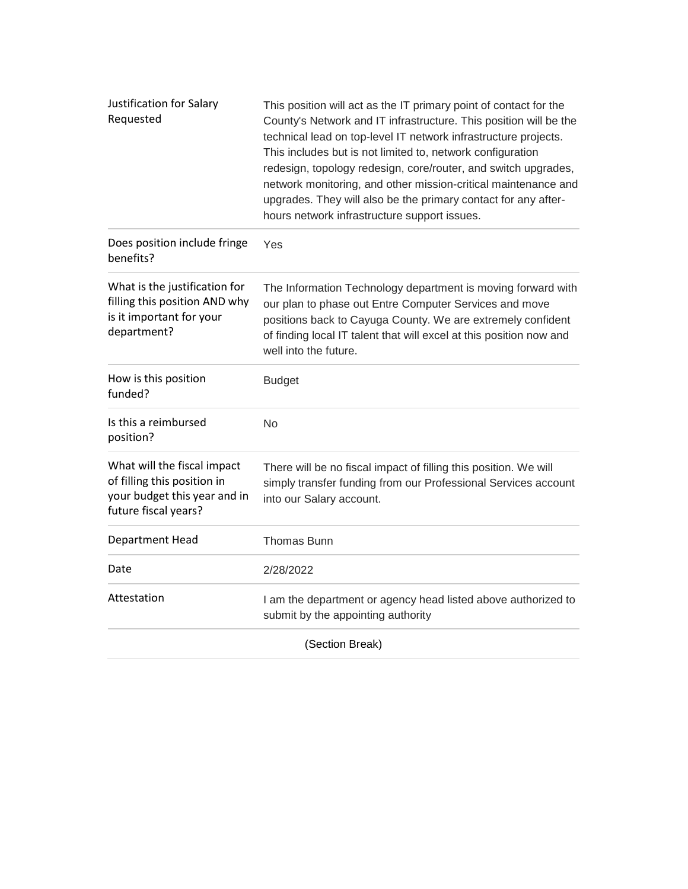| Justification for Salary<br>Requested                                                                              | This position will act as the IT primary point of contact for the<br>County's Network and IT infrastructure. This position will be the<br>technical lead on top-level IT network infrastructure projects.<br>This includes but is not limited to, network configuration<br>redesign, topology redesign, core/router, and switch upgrades,<br>network monitoring, and other mission-critical maintenance and<br>upgrades. They will also be the primary contact for any after-<br>hours network infrastructure support issues. |  |
|--------------------------------------------------------------------------------------------------------------------|-------------------------------------------------------------------------------------------------------------------------------------------------------------------------------------------------------------------------------------------------------------------------------------------------------------------------------------------------------------------------------------------------------------------------------------------------------------------------------------------------------------------------------|--|
| Does position include fringe<br>benefits?                                                                          | Yes                                                                                                                                                                                                                                                                                                                                                                                                                                                                                                                           |  |
| What is the justification for<br>filling this position AND why<br>is it important for your<br>department?          | The Information Technology department is moving forward with<br>our plan to phase out Entre Computer Services and move<br>positions back to Cayuga County. We are extremely confident<br>of finding local IT talent that will excel at this position now and<br>well into the future.                                                                                                                                                                                                                                         |  |
| How is this position<br>funded?                                                                                    | <b>Budget</b>                                                                                                                                                                                                                                                                                                                                                                                                                                                                                                                 |  |
| Is this a reimbursed<br>position?                                                                                  | <b>No</b>                                                                                                                                                                                                                                                                                                                                                                                                                                                                                                                     |  |
| What will the fiscal impact<br>of filling this position in<br>your budget this year and in<br>future fiscal years? | There will be no fiscal impact of filling this position. We will<br>simply transfer funding from our Professional Services account<br>into our Salary account.                                                                                                                                                                                                                                                                                                                                                                |  |
| Department Head                                                                                                    | Thomas Bunn                                                                                                                                                                                                                                                                                                                                                                                                                                                                                                                   |  |
| Date                                                                                                               | 2/28/2022                                                                                                                                                                                                                                                                                                                                                                                                                                                                                                                     |  |
| Attestation                                                                                                        | I am the department or agency head listed above authorized to<br>submit by the appointing authority                                                                                                                                                                                                                                                                                                                                                                                                                           |  |
| (Section Break)                                                                                                    |                                                                                                                                                                                                                                                                                                                                                                                                                                                                                                                               |  |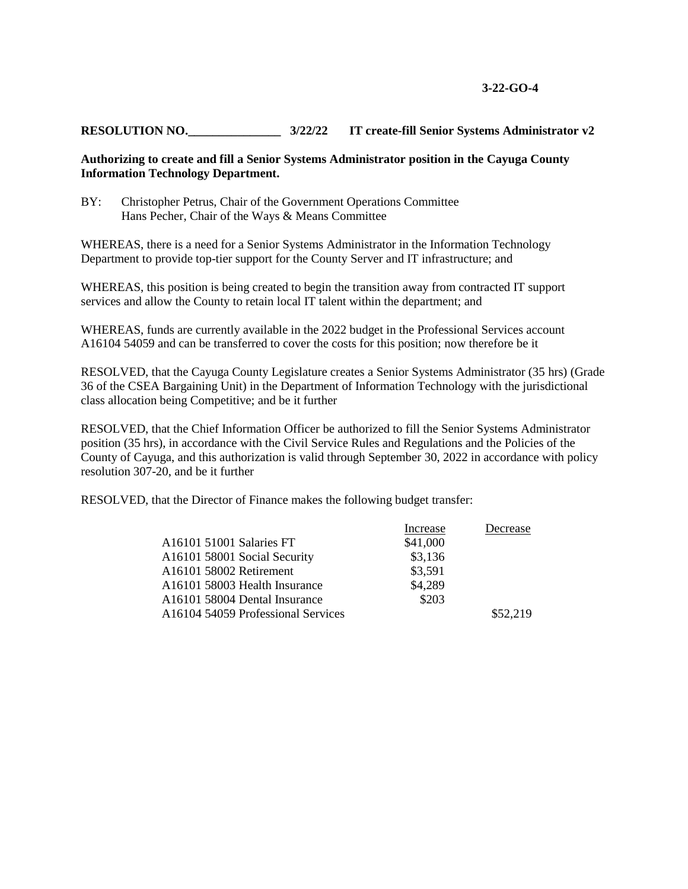# **RESOLUTION NO.\_\_\_\_\_\_\_\_\_\_\_\_\_\_\_ 3/22/22 IT create-fill Senior Systems Administrator v2**

# **Authorizing to create and fill a Senior Systems Administrator position in the Cayuga County Information Technology Department.**

BY: Christopher Petrus, Chair of the Government Operations Committee Hans Pecher, Chair of the Ways & Means Committee

WHEREAS, there is a need for a Senior Systems Administrator in the Information Technology Department to provide top-tier support for the County Server and IT infrastructure; and

WHEREAS, this position is being created to begin the transition away from contracted IT support services and allow the County to retain local IT talent within the department; and

WHEREAS, funds are currently available in the 2022 budget in the Professional Services account A16104 54059 and can be transferred to cover the costs for this position; now therefore be it

RESOLVED, that the Cayuga County Legislature creates a Senior Systems Administrator (35 hrs) (Grade 36 of the CSEA Bargaining Unit) in the Department of Information Technology with the jurisdictional class allocation being Competitive; and be it further

RESOLVED, that the Chief Information Officer be authorized to fill the Senior Systems Administrator position (35 hrs), in accordance with the Civil Service Rules and Regulations and the Policies of the County of Cayuga, and this authorization is valid through September 30, 2022 in accordance with policy resolution 307-20, and be it further

RESOLVED, that the Director of Finance makes the following budget transfer:

|                                    | Increase | Decrease |
|------------------------------------|----------|----------|
| A16101 51001 Salaries FT           | \$41,000 |          |
| A16101 58001 Social Security       | \$3,136  |          |
| A16101 58002 Retirement            | \$3,591  |          |
| A16101 58003 Health Insurance      | \$4,289  |          |
| A16101 58004 Dental Insurance      | \$203    |          |
| A16104 54059 Professional Services |          | \$52,219 |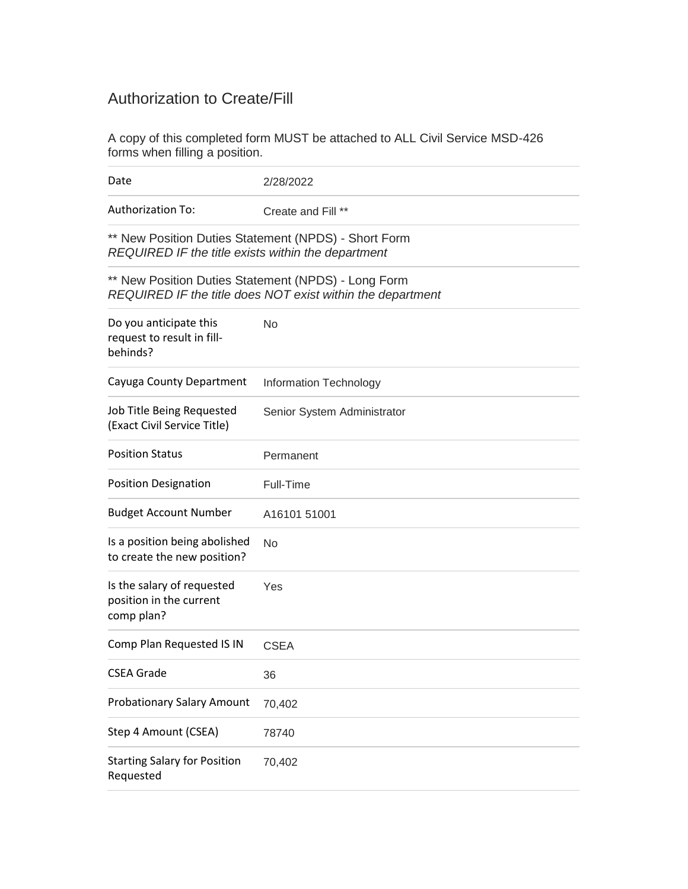# Authorization to Create/Fill

A copy of this completed form MUST be attached to ALL Civil Service MSD-426 forms when filling a position.

| Date                                                                                                              | 2/28/2022                   |  |
|-------------------------------------------------------------------------------------------------------------------|-----------------------------|--|
| <b>Authorization To:</b>                                                                                          | Create and Fill **          |  |
| ** New Position Duties Statement (NPDS) - Short Form<br>REQUIRED IF the title exists within the department        |                             |  |
| ** New Position Duties Statement (NPDS) - Long Form<br>REQUIRED IF the title does NOT exist within the department |                             |  |
| Do you anticipate this<br>request to result in fill-<br>behinds?                                                  | No                          |  |
| Cayuga County Department                                                                                          | Information Technology      |  |
| Job Title Being Requested<br>(Exact Civil Service Title)                                                          | Senior System Administrator |  |
| <b>Position Status</b>                                                                                            | Permanent                   |  |
| <b>Position Designation</b>                                                                                       | Full-Time                   |  |
| <b>Budget Account Number</b>                                                                                      | A16101 51001                |  |
| Is a position being abolished<br>to create the new position?                                                      | No                          |  |
| Is the salary of requested<br>position in the current<br>comp plan?                                               | Yes                         |  |
| Comp Plan Requested IS IN                                                                                         | <b>CSEA</b>                 |  |
| <b>CSEA Grade</b>                                                                                                 | 36                          |  |
| <b>Probationary Salary Amount</b>                                                                                 | 70,402                      |  |
| Step 4 Amount (CSEA)                                                                                              | 78740                       |  |
| <b>Starting Salary for Position</b><br>Requested                                                                  | 70,402                      |  |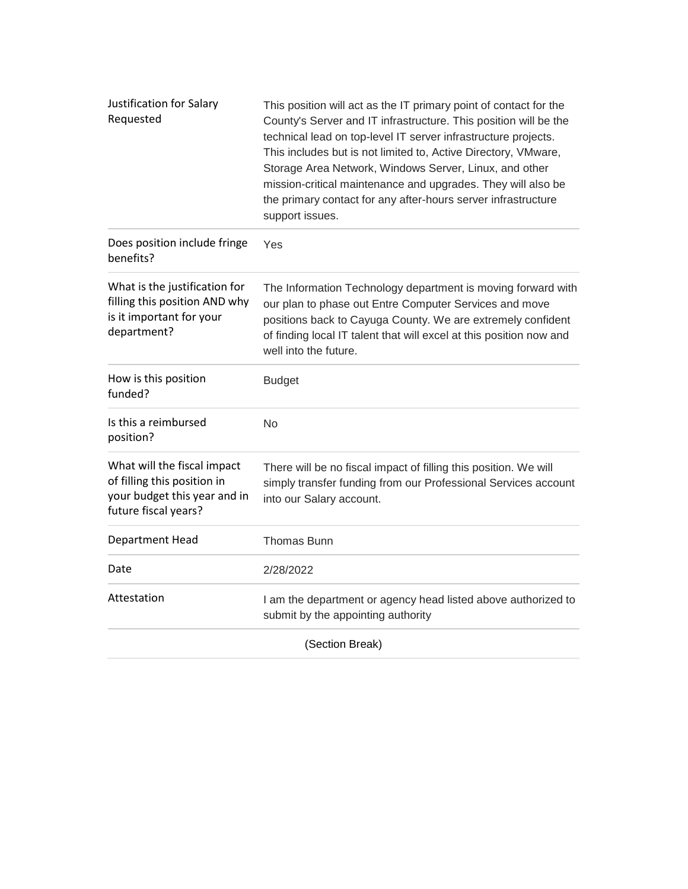| Justification for Salary<br>Requested                                                                              | This position will act as the IT primary point of contact for the<br>County's Server and IT infrastructure. This position will be the<br>technical lead on top-level IT server infrastructure projects.<br>This includes but is not limited to, Active Directory, VMware,<br>Storage Area Network, Windows Server, Linux, and other<br>mission-critical maintenance and upgrades. They will also be<br>the primary contact for any after-hours server infrastructure<br>support issues. |  |
|--------------------------------------------------------------------------------------------------------------------|-----------------------------------------------------------------------------------------------------------------------------------------------------------------------------------------------------------------------------------------------------------------------------------------------------------------------------------------------------------------------------------------------------------------------------------------------------------------------------------------|--|
| Does position include fringe<br>benefits?                                                                          | Yes                                                                                                                                                                                                                                                                                                                                                                                                                                                                                     |  |
| What is the justification for<br>filling this position AND why<br>is it important for your<br>department?          | The Information Technology department is moving forward with<br>our plan to phase out Entre Computer Services and move<br>positions back to Cayuga County. We are extremely confident<br>of finding local IT talent that will excel at this position now and<br>well into the future.                                                                                                                                                                                                   |  |
| How is this position<br>funded?                                                                                    | <b>Budget</b>                                                                                                                                                                                                                                                                                                                                                                                                                                                                           |  |
| Is this a reimbursed<br>position?                                                                                  | <b>No</b>                                                                                                                                                                                                                                                                                                                                                                                                                                                                               |  |
| What will the fiscal impact<br>of filling this position in<br>your budget this year and in<br>future fiscal years? | There will be no fiscal impact of filling this position. We will<br>simply transfer funding from our Professional Services account<br>into our Salary account.                                                                                                                                                                                                                                                                                                                          |  |
| Department Head                                                                                                    | Thomas Bunn                                                                                                                                                                                                                                                                                                                                                                                                                                                                             |  |
| Date                                                                                                               | 2/28/2022                                                                                                                                                                                                                                                                                                                                                                                                                                                                               |  |
| Attestation                                                                                                        | I am the department or agency head listed above authorized to<br>submit by the appointing authority                                                                                                                                                                                                                                                                                                                                                                                     |  |
| (Section Break)                                                                                                    |                                                                                                                                                                                                                                                                                                                                                                                                                                                                                         |  |